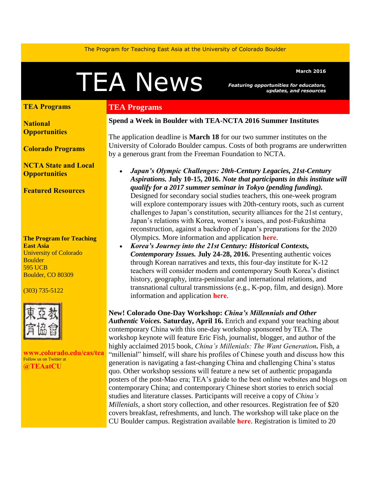The Program for Teaching East Asia at the University of Colorado Boulder

# MEA News Featuring opportunities for educators,

*Featuring opportunities for educators, updates, and resources* 

# **[TEA Programs](#page-0-0)**

**[National](#page-1-0) [Opportunities](#page-1-0)**

**[Colorado Programs](#page-3-0)**

**[NCTA State and Local](#page-3-1)  [Opportunities](#page-3-1)** 

**[Featured Resources](#page-3-2)** 

**The Program for Teaching East Asia** University of Colorado **Boulder** 595 UCB Boulder, CO 80309

#### (303) 735-5122



**[www.colorado.edu/cas/tea](http://www.colorado.edu/cas/tea)** Follow us on Twitter at **[@TEAatCU](https://twitter.com/TEAatCU)**

# <span id="page-0-0"></span>**TEA Programs**

#### **Spend a Week in Boulder with TEA-NCTA 2016 Summer Institutes**

The application deadline is **March 18** for our two summer institutes on the University of Colorado Boulder campus. Costs of both programs are underwritten by a generous grant from the Freeman Foundation to NCTA.

- *Japan's Olympic Challenges: 20th-Century Legacies, 21st-Century Aspirations.* **July 10-15, 2016.** *Note that participants in this institute will qualify for a 2017 summer seminar in Tokyo (pending funding).* Designed for secondary social studies teachers, this one-week program will explore contemporary issues with 20th-century roots, such as current challenges to Japan's constitution, security alliances for the 21st century, Japan's relations with Korea, women's issues, and post-Fukushima reconstruction, against a backdrop of Japan's preparations for the 2020 Olympics. More information and application **[here](http://www.colorado.edu/cas/tea/ncta/downloads/Japan_SI2016_application.pdf)**.
- *Korea's Journey into the 21st Century: Historical Contexts, Contemporary Issues.* **July 24-28, 2016.** Presenting authentic voices through Korean narratives and texts, this four-day institute for K-12 teachers will consider modern and contemporary South Korea's distinct history, geography, intra-peninsular and international relations, and transnational cultural transmissions (e.g., K-pop, film, and design). More information and application **[here](http://www.colorado.edu/cas/tea/ncta/downloads/KSI2016App.pdf)**.

**New! Colorado One-Day Workshop:** *China's Millennials and Other* 

*Authentic Voices.* **Saturday, April 16.** Enrich and expand your teaching about contemporary China with this one-day workshop sponsored by TEA. The workshop keynote will feature Eric Fish, journalist, blogger, and author of the highly acclaimed 2015 book, *China's Millenials: The Want Generation.* Fish, a "millenial" himself, will share his profiles of Chinese youth and discuss how this generation is navigating a fast-changing China and challenging China's status quo. Other workshop sessions will feature a new set of authentic propaganda posters of the post-Mao era; TEA's guide to the best online websites and blogs on contemporary China; and contemporary Chinese short stories to enrich social studies and literature classes. Participants will receive a copy of *China's Millenials*, a short story collection, and other resources. Registration fee of \$20 covers breakfast, refreshments, and lunch. The workshop will take place on the CU Boulder campus. Registration available **[here](http://www.colorado.edu/cas/tea/programs/downloads/ChinaMillennialsReg.pdf)**. Registration is limited to 20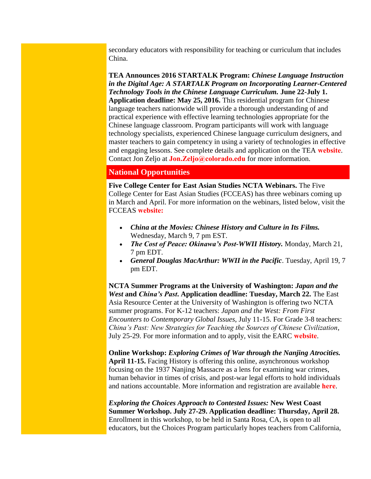secondary educators with responsibility for teaching or curriculum that includes China.

**TEA Announces 2016 STARTALK Program:** *Chinese Language Instruction in the Digital Age: A STARTALK Program on Incorporating Learner-Centered Technology Tools in the Chinese Language Curriculum.* **June 22-July 1. Application deadline: May 25, 2016.** This residential program for Chinese language teachers nationwide will provide a thorough understanding of and practical experience with effective learning technologies appropriate for the Chinese language classroom. Program participants will work with language technology specialists, experienced Chinese language curriculum designers, and master teachers to gain competency in using a variety of technologies in effective and engaging lessons. See complete details and application on the TEA **[website](http://www.colorado.edu/cas/tea/programs/startalk-program.html)**. Contact Jon Zeljo at **[Jon.Zeljo@colorado.edu](mailto:Jon.Zeljo@colorado.edu)** for more information.

## <span id="page-1-0"></span>**National Opportunities**

**Five College Center for East Asian Studies NCTA Webinars.** The Five College Center for East Asian Studies (FCCEAS) has three webinars coming up in March and April. For more information on the webinars, listed below, visit the FCCEAS **[website:](https://www.fivecolleges.edu/fcceas/webinar)**

- *China at the Movies: Chinese History and Culture in Its Films.* Wednesday, March 9, 7 pm EST.
- *The Cost of Peace: Okinawa's Post-WWII History.* Monday, March 21, 7 pm EDT.
- *General Douglas MacArthur: WWII in the Pacific*. Tuesday, April 19, 7 pm EDT.

**NCTA Summer Programs at the University of Washington:** *Japan and the West* **and** *China's Past***. Application deadline: Tuesday, March 22.** The East Asia Resource Center at the University of Washington is offering two NCTA summer programs. For K-12 teachers: *Japan and the West: From First Encounters to Contemporary Global Issues*, July 11-15. For Grade 3-8 teachers: *China's Past: New Strategies for Teaching the Sources of Chinese Civilization*, July 25-29. For more information and to apply, visit the EARC **[website](https://jsis.washington.edu/earc/institutes/)**.

**Online Workshop:** *Exploring Crimes of War through the Nanjing Atrocities.* **April 11-15.** Facing History is offering this online, asynchronous workshop focusing on the 1937 Nanjing Massacre as a lens for examining war crimes, human behavior in times of crisis, and post-war legal efforts to hold individuals and nations accountable. More information and registration are available **[here](https://www.facinghistory.org/events/ow2016nat1-exploring-crimes-war-through-nanjing-atrocities)**.

*Exploring the Choices Approach to Contested Issues:* **New West Coast Summer Workshop. July 27-29. Application deadline: Thursday, April 28.**  Enrollment in this workshop, to be held in Santa Rosa, CA, is open to all educators, but the Choices Program particularly hopes teachers from California,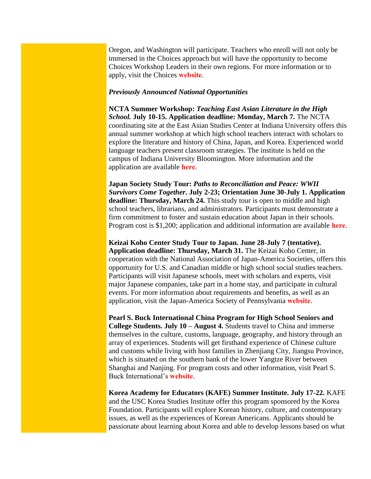Oregon, and Washington will participate. Teachers who enroll will not only be immersed in the Choices approach but will have the opportunity to become Choices Workshop Leaders in their own regions. For more information or to apply, visit the Choices **[website](http://www.choices.edu/pd/institutes/institute-2016-ca)**.

#### *Previously Announced National Opportunities*

**NCTA Summer Workshop:** *Teaching East Asian Literature in the High School.* **July 10-15. Application deadline: Monday, March 7.** The NCTA coordinating site at the East Asian Studies Center at Indiana University offers this annual summer workshop at which high school teachers interact with scholars to explore the literature and history of China, Japan, and Korea. Experienced world language teachers present classroom strategies. The institute is held on the campus of Indiana University Bloomington. More information and the application are available **[here](http://www.iu.edu/~easc/outreach/educators/literature/index.shtml)**.

**Japan Society Study Tour:** *Paths to Reconciliation and Peace: WWII Survivors Come Together***. July 2-23; Orientation June 30-July 1. Application**  deadline: Thursday, March 24. This study tour is open to middle and high school teachers, librarians, and administrators. Participants must demonstrate a firm commitment to foster and sustain education about Japan in their schools. Program cost is \$1,200; application and additional information are available **[here](http://www.japansociety.org/page/programs/education/educators_study_tour/2015-educators-study-tour-to-japan/educators-study-tour-application)**.

**Keizai Koho Center Study Tour to Japan. June 28-July 7 (tentative). Application deadline: Thursday, March 31.** The Keizai Koho Center, in cooperation with the National Association of Japan-America Societies, offers this opportunity for U.S. and Canadian middle or high school social studies teachers. Participants will visit Japanese schools, meet with scholars and experts, visit major Japanese companies, take part in a home stay, and participate in cultural events. For more information about requirements and benefits, as well as an application, visit the Japan-America Society of Pennsylvania **[website](http://www.kkc.or.jp/english/fellowship/fellowships/index.html)**.

**Pearl S. Buck International China Program for High School Seniors and College Students. July 10 – August 4.** Students travel to China and immerse themselves in the culture, customs, language, geography, and history through an array of experiences. Students will get firsthand experience of Chinese culture and customs while living with host families in Zhenjiang City, Jiangsu Province, which is situated on the southern bank of the lower Yangtze River between Shanghai and Nanjing. For program costs and other information, visit Pearl S. Buck International's **[website](https://pearlsbuck.org/culturetrip?utm_source=Chinese+Language+Initiatives&utm_campaign=606251595e-Chinese_Language_Matters_January_20161_21_2016&utm_medium=email&utm_term=0_471f06bc9d-606251595e-386296462)**.

**Korea Academy for Educators (KAFE) Summer Institute. July 17-22.** KAFE and the USC Korea Studies Institute offer this program sponsored by the Korea Foundation. Participants will explore Korean history, culture, and contemporary issues, as well as the experiences of Korean Americans. Applicants should be passionate about learning about Korea and able to develop lessons based on what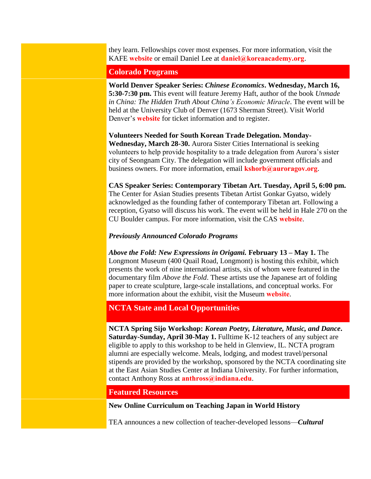they learn. Fellowships cover most expenses. For more information, visit the KAFE **[website](http://www.koreaacademy.org/)** or email Daniel Lee at **[daniel@koreaacademy.org](mailto:daniel@koreaacademy.org)**.

#### <span id="page-3-0"></span>**Colorado Programs**

**World Denver Speaker Series:** *Chinese Economics***. Wednesday, March 16, 5:30-7:30 pm.** This event will feature Jeremy Haft, author of the book *Unmade in China: The Hidden Truth About China's Economic Miracle*. The event will be held at the University Club of Denver (1673 Sherman Street). Visit World Denver's **[website](http://www.worlddenver.org/event-2152869)** for ticket information and to register.

**Volunteers Needed for South Korean Trade Delegation. Monday-Wednesday, March 28-30.** Aurora Sister Cities International is seeking volunteers to help provide hospitality to a trade delegation from Aurora's sister city of Seongnam City. The delegation will include government officials and business owners. For more information, email **[kshorb@auroragov.org](mailto:kshorb@auroragov.org)**.

**CAS Speaker Series: Contemporary Tibetan Art. Tuesday, April 5, 6:00 pm.** The Center for Asian Studies presents Tibetan Artist Gonkar Gyatso, widely acknowledged as the founding father of contemporary Tibetan art. Following a reception, Gyatso will discuss his work. The event will be held in Hale 270 on the CU Boulder campus. For more information, visit the CAS **[website](http://www.colorado.edu/cas/campus-visit-contemporary-tibetan-artist-gonkar-gyatso-20160405)**.

#### *Previously Announced Colorado Programs*

*Above the Fold: New Expressions in Origami.* **February 13 – May 1.** The Longmont Museum (400 Quail Road, Longmont) is hosting this exhibit, which presents the work of nine international artists, six of whom were featured in the documentary film *Above the Fold*. These artists use the Japanese art of folding paper to create sculpture, large-scale installations, and conceptual works. For more information about the exhibit, visit the Museum **[website](http://www.longmontcolorado.gov/departments/departments-e-m/museum/exhibitions/above-the-fold)**.

### <span id="page-3-1"></span>**NCTA State and Local Opportunities**

**NCTA Spring Sijo Workshop:** *Korean Poetry, Literature, Music, and Dance***. Saturday-Sunday, April 30-May 1.** Fulltime K-12 teachers of any subject are eligible to apply to this workshop to be held in Glenview, IL. NCTA program alumni are especially welcome. Meals, lodging, and modest travel/personal stipends are provided by the workshop, sponsored by the NCTA coordinating site at the East Asian Studies Center at Indiana University. For further information, contact Anthony Ross at **[anthross@indiana.edu](mailto:anthross@indiana.edu)**.

#### <span id="page-3-2"></span>**Featured Resources**

**New Online Curriculum on Teaching Japan in World History**

TEA announces a new collection of teacher-developed lessons—*Cultural*